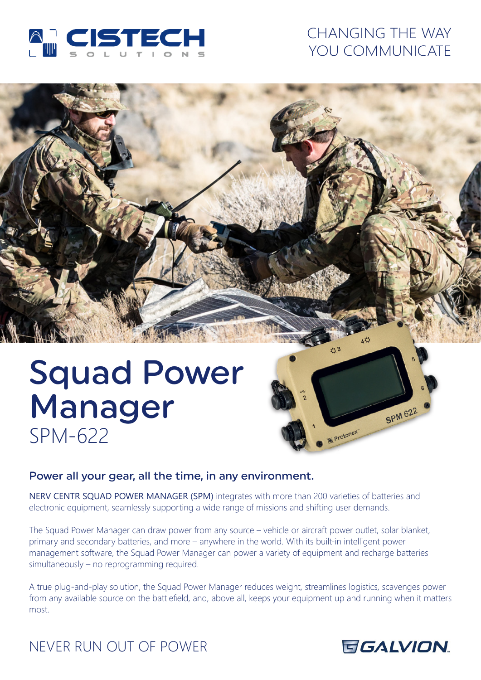

# CHANGING THE WAY YOU COMMUNICATE

# Squad Power Manager SPM-622



## Power all your gear, all the time, in any environment.

NERV CENTR SQUAD POWER MANAGER (SPM) integrates with more than 200 varieties of batteries and electronic equipment, seamlessly supporting a wide range of missions and shifting user demands.

The Squad Power Manager can draw power from any source – vehicle or aircraft power outlet, solar blanket, primary and secondary batteries, and more – anywhere in the world. With its built-in intelligent power management software, the Squad Power Manager can power a variety of equipment and recharge batteries simultaneously – no reprogramming required.

A true plug-and-play solution, the Squad Power Manager reduces weight, streamlines logistics, scavenges power from any available source on the battlefield, and, above all, keeps your equipment up and running when it matters most.

# NEVER RUN OUT OF POWER